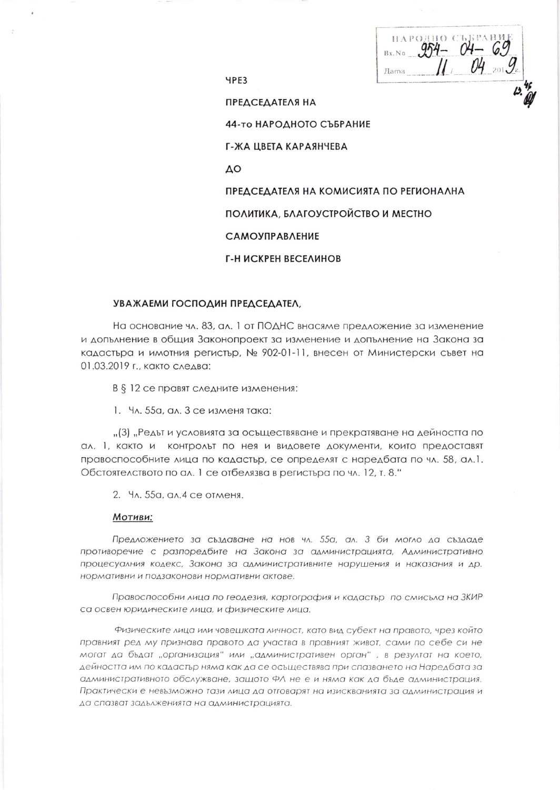$954 - 04$ **Лата** 

**YPE3** 

**ПРЕДСЕДАТЕЛЯ НА** 

44-то НАРОДНОГО СЪБРАНИЕ

Г-ЖА ЦВЕТА КАРАЯНЧЕВА

ΔO

ПРЕДСЕДАТЕЛЯ НА КОМИСИЯТА ПО РЕГИОНАЛНА

ПОЛИТИКА, БЛАГОУСТРОЙСТВО И МЕСТНО

**САМОУПРАВЛЕНИЕ** 

Г-Н ИСКРЕН ВЕСЕЛИНОВ

## УВАЖАЕМИ ГОСПОДИН ПРЕДСЕДАТЕЛ,

На основание чл. 83, ал. 1 от ПОДНС внасяме предложение за изменение и допълнение в общия Законопроект за изменение и допълнение на Закона за кадастьра и имотния регистър, № 902-01-11, внесен от Министерски съвет на 01.03.2019 г., както следва:

В § 12 се правят следните изменения:

1. Чл. 55а, ал. 3 се изменя така:

"(3) "Редът и условията за осъществяване и прекратяване на дейността по ал. 1, както и контролът по нея и видовете документи, които предоставят правоспособните лица по кадастър, се определят с наредбата по чл. 58, ал.1. Обстоятелството по ал. 1 се отбелязва в регистъра по чл. 12, т. 8."

2. Чл. 55а, ал. 4 се отменя.

## Мотиви:

Предложението за създаване на нов чл. 55а, ал. 3 би могло да създаде противоречие с разпоредбите на Закона за администрацията, Административно процесуалния кодекс, Закона за административните нарушения и наказания и др. нормативни и подзаконови нормативни актове.

Правоспособни лица по геодезия, картография и кадастър по смисъла на ЗКИР са освен юридическите лица, и физическите лица.

Физическите лица или човешката личност, като вид субект на правото, чрез който правният ред му признава правото да участва в правният живот, сами по себе си не могат да бъдат "организация" или "административен орган", в резултат на което, дейността им по кадастър няма как да се осъществява при спазването на Наредбата за административното обслужване, защото ФЛ не е и няма как да бъде администрация. Практически е невъзможно тази лица да отговарят на изискванията за администрация и да спазват задълженията на администрацията.